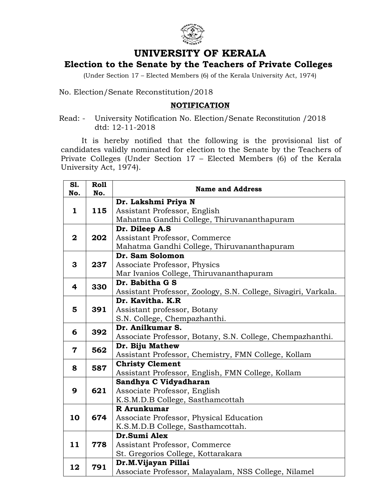

## **UNIVERSITY OF KERALA**

## **Election to the Senate by the Teachers of Private Colleges**

(Under Section 17 – Elected Members (6) of the Kerala University Act, 1974)

No. Election/Senate Reconstitution/2018

## **NOTIFICATION**

Read: - University Notification No. Election/Senate Reconstitution /2018 dtd: 12-11-2018

It is hereby notified that the following is the provisional list of candidates validly nominated for election to the Senate by the Teachers of Private Colleges (Under Section 17 – Elected Members (6) of the Kerala University Act, 1974).

| S1.<br>No.              | <b>Roll</b><br>No. | <b>Name and Address</b>                                        |
|-------------------------|--------------------|----------------------------------------------------------------|
| $\mathbf{1}$            | 115                | Dr. Lakshmi Priya N                                            |
|                         |                    | Assistant Professor, English                                   |
|                         |                    | Mahatma Gandhi College, Thiruvananthapuram                     |
| $\mathbf{2}$            | 202                | Dr. Dileep A.S                                                 |
|                         |                    | Assistant Professor, Commerce                                  |
|                         |                    | Mahatma Gandhi College, Thiruvananthapuram                     |
| 3                       | 237                | Dr. Sam Solomon                                                |
|                         |                    | Associate Professor, Physics                                   |
|                         |                    | Mar Ivanios College, Thiruvananthapuram                        |
| 4                       | 330                | Dr. Babitha G S                                                |
|                         |                    | Assistant Professor, Zoology, S.N. College, Sivagiri, Varkala. |
| 5                       | 391                | Dr. Kavitha. K.R                                               |
|                         |                    | Assistant professor, Botany                                    |
|                         |                    | S.N. College, Chempazhanthi.                                   |
| 6                       | 392                | Dr. Anilkumar S.                                               |
|                         |                    | Associate Professor, Botany, S.N. College, Chempazhanthi.      |
| $\overline{\mathbf{7}}$ | 562                | Dr. Biju Mathew                                                |
|                         |                    | Assistant Professor, Chemistry, FMN College, Kollam            |
| 8                       | 587<br>621         | <b>Christy Clement</b>                                         |
|                         |                    | Assistant Professor, English, FMN College, Kollam              |
|                         |                    | Sandhya C Vidyadharan                                          |
| 9                       |                    | Associate Professor, English                                   |
|                         |                    | K.S.M.D.B College, Sasthamcottah                               |
| 10                      | 674                | R Arunkumar                                                    |
|                         |                    | Associate Professor, Physical Education                        |
|                         | 778                | K.S.M.D.B College, Sasthamcottah.<br>Dr.Sumi Alex              |
|                         |                    |                                                                |
| 11                      |                    | Assistant Professor, Commerce                                  |
|                         |                    | St. Gregorios College, Kottarakara<br>Dr.M.Vijayan Pillai      |
| 12                      | 791                | Associate Professor, Malayalam, NSS College, Nilamel           |
|                         |                    |                                                                |